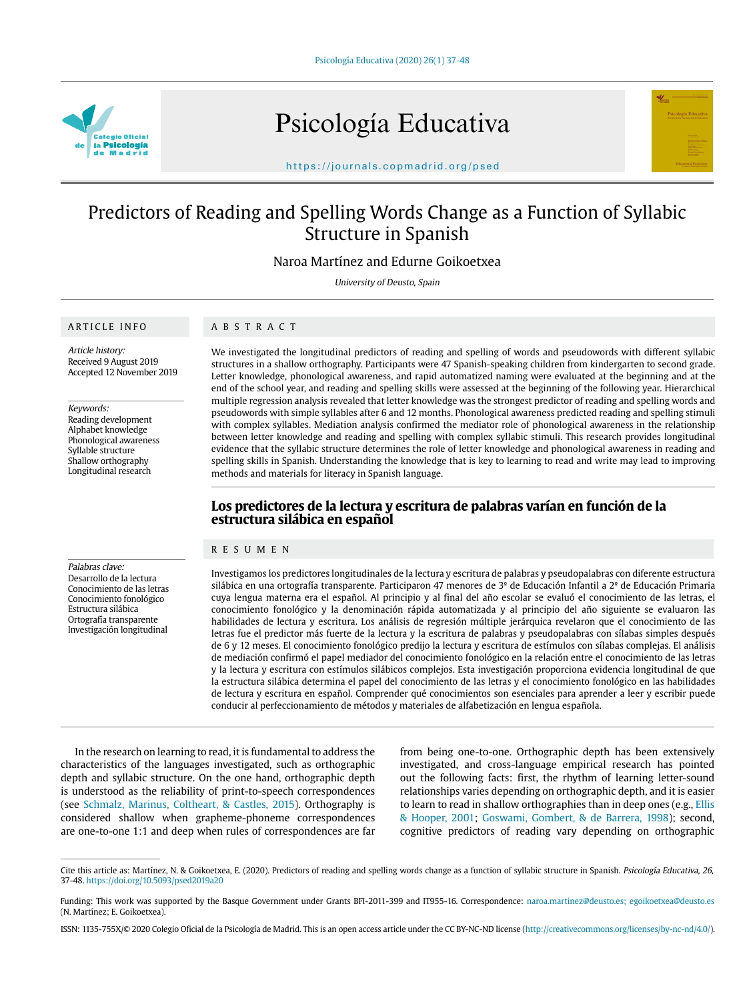

Psicología Educativa



https://journals.copmadrid.org/psed

# Predictors of Reading and Spelling Words Change as a Function of Syllabic Structure in Spanish

Naroa Martínez and Edurne Goikoetxea

University of Deusto, Spain

## ARTICLE INFO

# ABSTRACT

Article history: Received 9 August 2019 Accepted 12 November 2019

Keywords:

Reading development Alphabet knowledge Phonological awareness Syllable structure Shallow orthography Longitudinal research

Palabras clave: Desarrollo de la lectura Conocimiento de las letras Conocimiento fonológico Estructura silábica Ortografía transparente Investigación longitudinal

We investigated the longitudinal predictors of reading and spelling of words and pseudowords with different syllabic structures in a shallow orthography. Participants were 47 Spanish-speaking children from kindergarten to second grade. Letter knowledge, phonological awareness, and rapid automatized naming were evaluated at the beginning and at the end of the school year, and reading and spelling skills were assessed at the beginning of the following year. Hierarchical multiple regression analysis revealed that letter knowledge was the strongest predictor of reading and spelling words and pseudowords with simple syllables after 6 and 12 months. Phonological awareness predicted reading and spelling stimuli with complex syllables. Mediation analysis confirmed the mediator role of phonological awareness in the relationship between letter knowledge and reading and spelling with complex syllabic stimuli. This research provides longitudinal evidence that the syllabic structure determines the role of letter knowledge and phonological awareness in reading and spelling skills in Spanish. Understanding the knowledge that is key to learning to read and write may lead to improving methods and materials for literacy in Spanish language.

# **Los predictores de la lectura y escritura de palabras varían en función de la estructura silábica en español**

#### RESUMEN

Investigamos los predictores longitudinales de la lectura y escritura de palabras y pseudopalabras con diferente estructura silábica en una ortografía transparente. Participaron 47 menores de 3<sup>º</sup> de Educación Infantil a 2<sup>º</sup> de Educación Primaria cuya lengua materna era el español. Al principio y al final del año escolar se evaluó el conocimiento de las letras, el conocimiento fonológico y la denominación rápida automatizada y al principio del año siguiente se evaluaron las habilidades de lectura y escritura. Los análisis de regresión múltiple jerárquica revelaron que el conocimiento de las letras fue el predictor más fuerte de la lectura y la escritura de palabras y pseudopalabras con sílabas simples después de 6 y 12 meses. El conocimiento fonológico predijo la lectura y escritura de estímulos con sílabas complejas. El análisis de mediación confirmó el papel mediador del conocimiento fonológico en la relación entre el conocimiento de las letras y la lectura y escritura con estímulos silábicos complejos. Esta investigación proporciona evidencia longitudinal de que la estructura silábica determina el papel del conocimiento de las letras y el conocimiento fonológico en las habilidades de lectura y escritura en español. Comprender qué conocimientos son esenciales para aprender a leer y escribir puede conducir al perfeccionamiento de métodos y materiales de alfabetización en lengua española.

In the research on learning to read, it is fundamental to address the characteristics of the languages investigated, such as orthographic depth and syllabic structure. On the one hand, orthographic depth is understood as the reliability of print-to-speech correspondences (see Schmalz, Marinus, Coltheart, & Castles, 2015). Orthography is considered shallow when grapheme-phoneme correspondences are one-to-one 1:1 and deep when rules of correspondences are far

from being one-to-one. Orthographic depth has been extensively investigated, and cross-language empirical research has pointed out the following facts: first, the rhythm of learning letter-sound relationships varies depending on orthographic depth, and it is easier to learn to read in shallow orthographies than in deep ones (e.g., Ellis & Hooper, 2001; Goswami, Gombert, & de Barrera, 1998); second, cognitive predictors of reading vary depending on orthographic

Cite this article as: Martínez, N. & Goikoetxea, E. (2020). Predictors of reading and spelling words change as a function of syllabic structure in Spanish. Psicología Educativa, 26, 37-48. https://doi.org/10.5093/psed2019a20

Funding: This work was supported by the Basque Government under Grants BFI-2011-399 and IT955-16. Correspondence: naroa.martinez@deusto.es; egoikoetxea@deusto.es (N. Martínez; E. Goikoetxea).

ISSN: 1135-755X/© 2020 Colegio Oficial de la Psicología de Madrid. This is an open access article under the CC BY-NC-ND license (http://creativecommons.org/licenses/by-nc-nd/4.0/).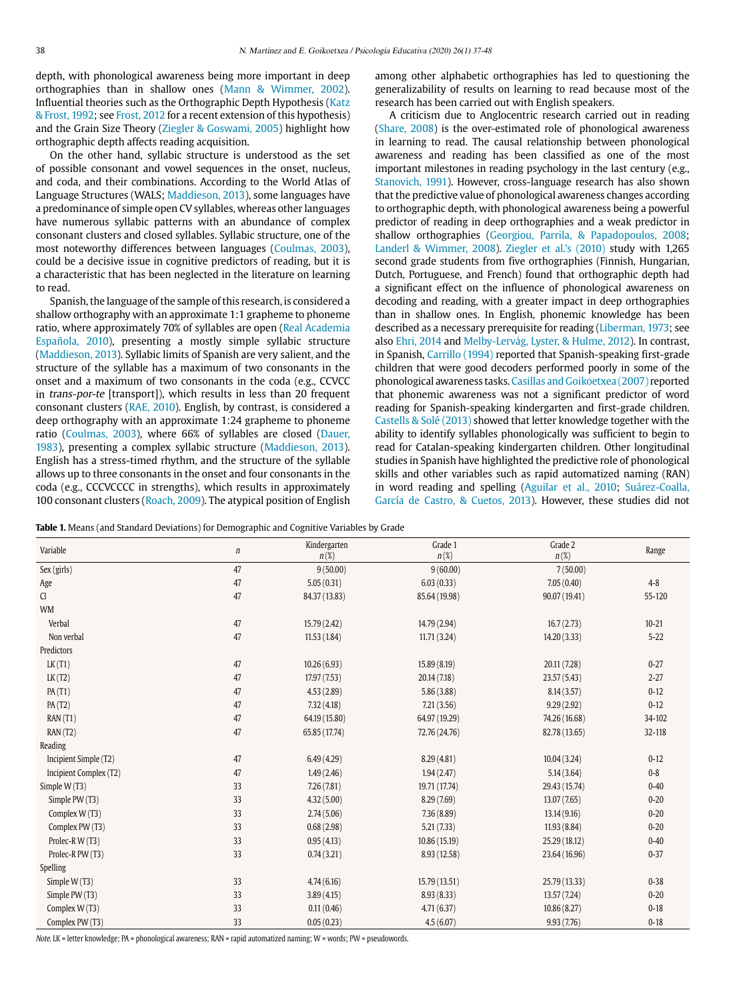depth, with phonological awareness being more important in deep orthographies than in shallow ones (Mann & Wimmer, 2002). Influential theories such as the Orthographic Depth Hypothesis (Katz & Frost, 1992; see Frost, 2012 for a recent extension of this hypothesis) and the Grain Size Theory (Ziegler & Goswami, 2005) highlight how orthographic depth affects reading acquisition.

On the other hand, syllabic structure is understood as the set of possible consonant and vowel sequences in the onset, nucleus, and coda, and their combinations. According to the World Atlas of Language Structures (WALS; Maddieson, 2013), some languages have a predominance of simple open CV syllables, whereas other languages have numerous syllabic patterns with an abundance of complex consonant clusters and closed syllables. Syllabic structure, one of the most noteworthy differences between languages (Coulmas, 2003), could be a decisive issue in cognitive predictors of reading, but it is a characteristic that has been neglected in the literature on learning to read.

Spanish, the language of the sample of this research, is considered a shallow orthography with an approximate 1:1 grapheme to phoneme ratio, where approximately 70% of syllables are open (Real Academia Española, 2010), presenting a mostly simple syllabic structure (Maddieson, 2013). Syllabic limits of Spanish are very salient, and the structure of the syllable has a maximum of two consonants in the onset and a maximum of two consonants in the coda (e.g., CCVCC in *trans-por-te* [transport]), which results in less than 20 frequent consonant clusters (RAE, 2010). English, by contrast, is considered a deep orthography with an approximate 1:24 grapheme to phoneme ratio (Coulmas, 2003), where 66% of syllables are closed (Dauer, 1983), presenting a complex syllabic structure (Maddieson, 2013). English has a stress-timed rhythm, and the structure of the syllable allows up to three consonants in the onset and four consonants in the coda (e.g., CCCVCCCC in strengths), which results in approximately 100 consonant clusters (Roach, 2009). The atypical position of English

among other alphabetic orthographies has led to questioning the generalizability of results on learning to read because most of the research has been carried out with English speakers.

A criticism due to Anglocentric research carried out in reading (Share, 2008) is the over-estimated role of phonological awareness in learning to read. The causal relationship between phonological awareness and reading has been classified as one of the most important milestones in reading psychology in the last century (e.g., Stanovich, 1991). However, cross-language research has also shown that the predictive value of phonological awareness changes according to orthographic depth, with phonological awareness being a powerful predictor of reading in deep orthographies and a weak predictor in shallow orthographies (Georgiou, Parrila, & Papadopoulos, 2008; Landerl & Wimmer, 2008). Ziegler et al.'s (2010) study with 1,265 second grade students from five orthographies (Finnish, Hungarian, Dutch, Portuguese, and French) found that orthographic depth had a significant effect on the influence of phonological awareness on decoding and reading, with a greater impact in deep orthographies than in shallow ones. In English, phonemic knowledge has been described as a necessary prerequisite for reading (Liberman, 1973; see also Ehri, 2014 and Melby-Lervåg, Lyster, & Hulme, 2012). In contrast, in Spanish, Carrillo (1994) reported that Spanish-speaking first-grade children that were good decoders performed poorly in some of the phonological awareness tasks. Casillas and Goikoetxea (2007) reported that phonemic awareness was not a significant predictor of word reading for Spanish-speaking kindergarten and first-grade children. Castells & Solé (2013) showed that letter knowledge together with the ability to identify syllables phonologically was sufficient to begin to read for Catalan-speaking kindergarten children. Other longitudinal studies in Spanish have highlighted the predictive role of phonological skills and other variables such as rapid automatized naming (RAN) in word reading and spelling (Aguilar et al., 2010; Suárez-Coalla, García de Castro, & Cuetos, 2013). However, these studies did not

**Table 1.** Means (and Standard Deviations) for Demographic and Cognitive Variables by Grade

| Variable               | $\boldsymbol{n}$ | Kindergarten<br>$n(\%)$ | Grade 1<br>$n(\%)$ | Grade 2<br>$n(\%)$ | Range     |
|------------------------|------------------|-------------------------|--------------------|--------------------|-----------|
| Sex (girls)            | 47               | 9(50.00)                | 9(60.00)           | 7(50.00)           |           |
| Age                    | 47               | 5.05(0.31)              | 6.03(0.33)         | 7.05(0.40)         | $4 - 8$   |
| CI                     | 47               | 84.37 (13.83)           | 85.64 (19.98)      | 90.07 (19.41)      | 55-120    |
| <b>WM</b>              |                  |                         |                    |                    |           |
| Verbal                 | 47               | 15.79 (2.42)            | 14.79 (2.94)       | 16.7(2.73)         | $10 - 21$ |
| Non verbal             | 47               | 11.53(1.84)             | 11.71(3.24)        | 14.20 (3.33)       | $5 - 22$  |
| Predictors             |                  |                         |                    |                    |           |
| LK(T1)                 | 47               | 10.26(6.93)             | 15.89(8.19)        | 20.11 (7.28)       | $0 - 27$  |
| LK(T2)                 | 47               | 17.97 (7.53)            | 20.14 (7.18)       | 23.57 (5.43)       | $2 - 27$  |
| PA(T1)                 | 47               | 4.53(2.89)              | 5.86(3.88)         | 8.14(3.57)         | $0 - 12$  |
| PA(T2)                 | 47               | 7.32(4.18)              | 7.21(3.56)         | 9.29(2.92)         | $0 - 12$  |
| RAN(T1)                | 47               | 64.19 (15.80)           | 64.97 (19.29)      | 74.26 (16.68)      | 34-102    |
| RAN(T2)                | 47               | 65.85 (17.74)           | 72.76 (24.76)      | 82.78 (13.65)      | 32-118    |
| Reading                |                  |                         |                    |                    |           |
| Incipient Simple (T2)  | 47               | 6.49(4.29)              | 8.29(4.81)         | 10.04(3.24)        | $0 - 12$  |
| Incipient Complex (T2) | 47               | 1.49(2.46)              | 1.94(2.47)         | 5.14(3.64)         | $0 - 8$   |
| Simple W (T3)          | 33               | 7.26(7.81)              | 19.71 (17.74)      | 29.43 (15.74)      | $0 - 40$  |
| Simple PW (T3)         | 33               | 4.32(5.00)              | 8.29 (7.69)        | 13.07 (7.65)       | $0 - 20$  |
| Complex W(T3)          | 33               | 2.74(5.06)              | 7.36(8.89)         | 13.14(9.16)        | $0 - 20$  |
| Complex PW (T3)        | 33               | 0.68(2.98)              | 5.21(7.33)         | 11.93(8.84)        | $0 - 20$  |
| Prolec-R W (T3)        | 33               | 0.95(4.13)              | 10.86 (15.19)      | 25.29 (18.12)      | $0 - 40$  |
| Prolec-R PW (T3)       | 33               | 0.74(3.21)              | 8.93 (12.58)       | 23.64 (16.96)      | $0 - 37$  |
| Spelling               |                  |                         |                    |                    |           |
| Simple W(T3)           | 33               | 4.74(6.16)              | 15.79 (13.51)      | 25.79 (13.33)      | $0 - 38$  |
| Simple PW (T3)         | 33               | 3.89(4.15)              | 8.93(8.33)         | 13.57 (7.24)       | $0 - 20$  |
| Complex W (T3)         | 33               | 0.11(0.46)              | 4.71(6.37)         | 10.86(8.27)        | $0 - 18$  |
| Complex PW (T3)        | 33               | 0.05(0.23)              | 4.5(6.07)          | 9.93(7.76)         | $0 - 18$  |
|                        |                  |                         |                    |                    |           |

Note. LK = letter knowledge; PA = phonological awareness; RAN = rapid automatized naming; W = words; PW = pseudowords.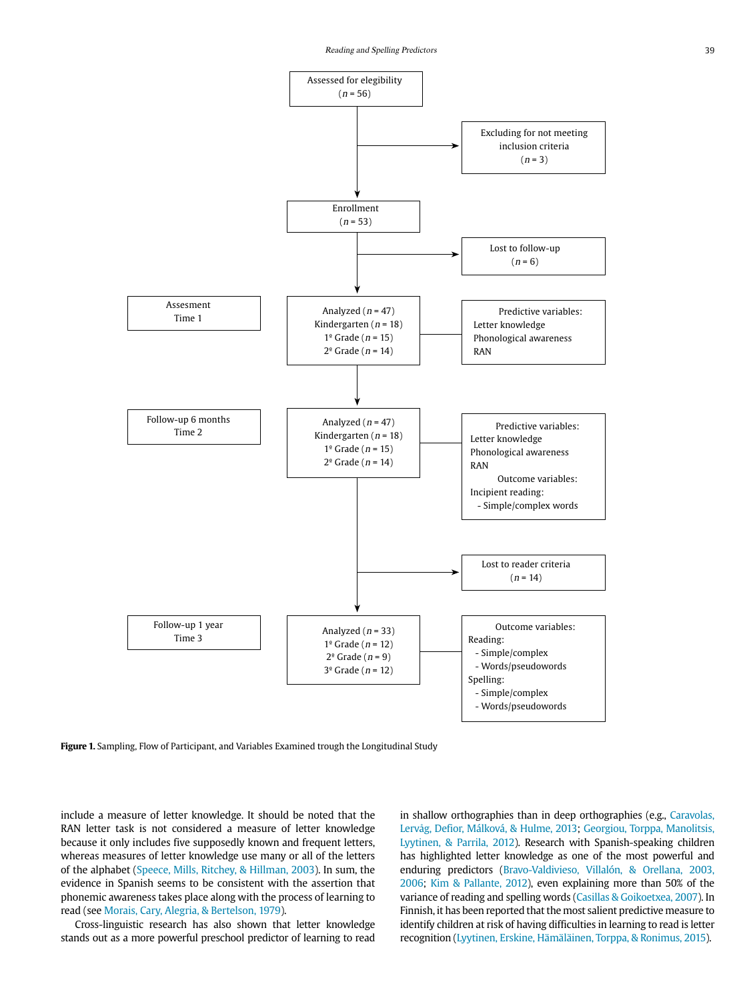

**Figure 1.** Sampling, Flow of Participant, and Variables Examined trough the Longitudinal Study

include a measure of letter knowledge. It should be noted that the RAN letter task is not considered a measure of letter knowledge because it only includes five supposedly known and frequent letters, whereas measures of letter knowledge use many or all of the letters of the alphabet (Speece, Mills, Ritchey, & Hillman, 2003). In sum, the evidence in Spanish seems to be consistent with the assertion that phonemic awareness takes place along with the process of learning to read (see Morais, Cary, Alegria, & Bertelson, 1979).

Cross-linguistic research has also shown that letter knowledge stands out as a more powerful preschool predictor of learning to read in shallow orthographies than in deep orthographies (e.g., Caravolas, Lervåg, Defior, Málková, & Hulme, 2013; Georgiou, Torppa, Manolitsis, Lyytinen, & Parrila, 2012). Research with Spanish-speaking children has highlighted letter knowledge as one of the most powerful and enduring predictors (Bravo-Valdivieso, Villalón, & Orellana, 2003, 2006; Kim & Pallante, 2012), even explaining more than 50% of the variance of reading and spelling words (Casillas & Goikoetxea, 2007). In Finnish, it has been reported that the most salient predictive measure to identify children at risk of having difficulties in learning to read is letter recognition (Lyytinen, Erskine, Hämäläinen, Torppa, & Ronimus, 2015).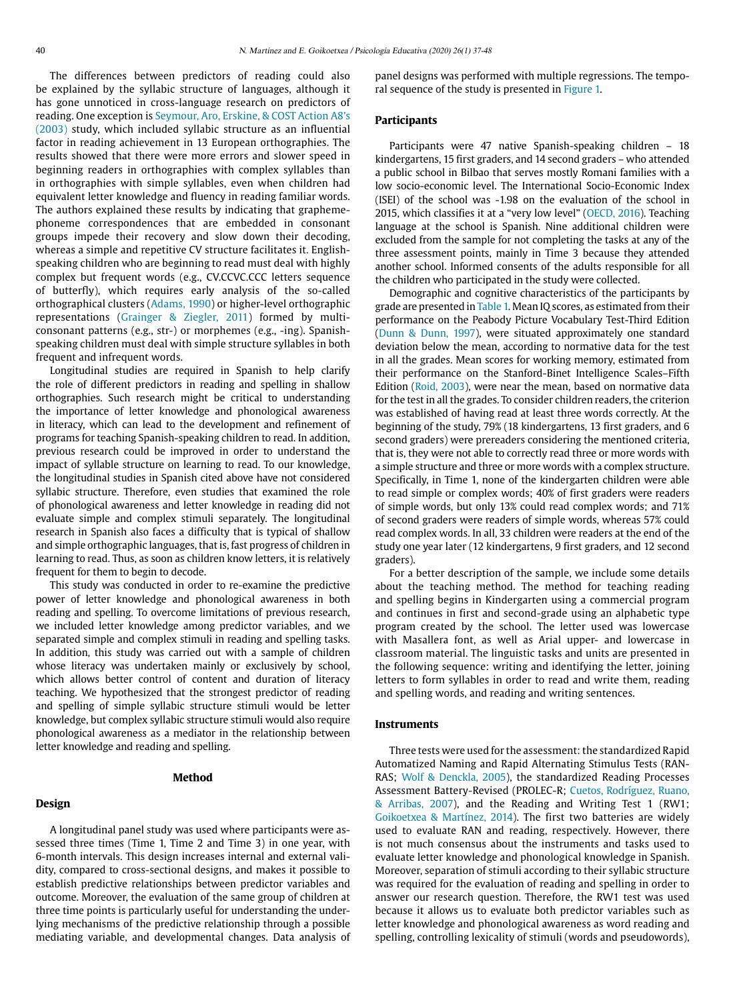The differences between predictors of reading could also be explained by the syllabic structure of languages, although it has gone unnoticed in cross-language research on predictors of reading. One exception is Seymour, Aro, Erskine, & COST Action A8's (2003) study, which included syllabic structure as an influential factor in reading achievement in 13 European orthographies. The results showed that there were more errors and slower speed in beginning readers in orthographies with complex syllables than in orthographies with simple syllables, even when children had equivalent letter knowledge and fluency in reading familiar words. The authors explained these results by indicating that graphemephoneme correspondences that are embedded in consonant groups impede their recovery and slow down their decoding, whereas a simple and repetitive CV structure facilitates it. Englishspeaking children who are beginning to read must deal with highly complex but frequent words (e.g., CV.CCVC.CCC letters sequence of butterfly), which requires early analysis of the so-called orthographical clusters (Adams, 1990) or higher-level orthographic representations (Grainger & Ziegler, 2011) formed by multiconsonant patterns (e.g., str-) or morphemes (e.g., -ing). Spanishspeaking children must deal with simple structure syllables in both frequent and infrequent words.

Longitudinal studies are required in Spanish to help clarify the role of different predictors in reading and spelling in shallow orthographies. Such research might be critical to understanding the importance of letter knowledge and phonological awareness in literacy, which can lead to the development and refinement of programs for teaching Spanish-speaking children to read. In addition, previous research could be improved in order to understand the impact of syllable structure on learning to read. To our knowledge, the longitudinal studies in Spanish cited above have not considered syllabic structure. Therefore, even studies that examined the role of phonological awareness and letter knowledge in reading did not evaluate simple and complex stimuli separately. The longitudinal research in Spanish also faces a difficulty that is typical of shallow and simple orthographic languages, that is, fast progress of children in learning to read. Thus, as soon as children know letters, it is relatively frequent for them to begin to decode.

This study was conducted in order to re-examine the predictive power of letter knowledge and phonological awareness in both reading and spelling. To overcome limitations of previous research, we included letter knowledge among predictor variables, and we separated simple and complex stimuli in reading and spelling tasks. In addition, this study was carried out with a sample of children whose literacy was undertaken mainly or exclusively by school, which allows better control of content and duration of literacy teaching. We hypothesized that the strongest predictor of reading and spelling of simple syllabic structure stimuli would be letter knowledge, but complex syllabic structure stimuli would also require phonological awareness as a mediator in the relationship between letter knowledge and reading and spelling.

# **Method**

#### **Design**

A longitudinal panel study was used where participants were assessed three times (Time 1, Time 2 and Time 3) in one year, with 6-month intervals. This design increases internal and external validity, compared to cross-sectional designs, and makes it possible to establish predictive relationships between predictor variables and outcome. Moreover, the evaluation of the same group of children at three time points is particularly useful for understanding the underlying mechanisms of the predictive relationship through a possible mediating variable, and developmental changes. Data analysis of panel designs was performed with multiple regressions. The temporal sequence of the study is presented in Figure 1.

## **Participants**

Participants were 47 native Spanish-speaking children – 18 kindergartens, 15 first graders, and 14 second graders – who attended a public school in Bilbao that serves mostly Romani families with a low socio-economic level. The International Socio-Economic Index (ISEI) of the school was -1.98 on the evaluation of the school in 2015, which classifies it at a "very low level" (OECD, 2016). Teaching language at the school is Spanish. Nine additional children were excluded from the sample for not completing the tasks at any of the three assessment points, mainly in Time 3 because they attended another school. Informed consents of the adults responsible for all the children who participated in the study were collected.

Demographic and cognitive characteristics of the participants by grade are presented in Table 1. Mean IQ scores, as estimated from their performance on the Peabody Picture Vocabulary Test-Third Edition (Dunn & Dunn, 1997), were situated approximately one standard deviation below the mean, according to normative data for the test in all the grades. Mean scores for working memory, estimated from their performance on the Stanford-Binet Intelligence Scales–Fifth Edition (Roid, 2003), were near the mean, based on normative data for the test in all the grades. To consider children readers, the criterion was established of having read at least three words correctly. At the beginning of the study, 79% (18 kindergartens, 13 first graders, and 6 second graders) were prereaders considering the mentioned criteria, that is, they were not able to correctly read three or more words with a simple structure and three or more words with a complex structure. Specifically, in Time 1, none of the kindergarten children were able to read simple or complex words; 40% of first graders were readers of simple words, but only 13% could read complex words; and 71% of second graders were readers of simple words, whereas 57% could read complex words. In all, 33 children were readers at the end of the study one year later (12 kindergartens, 9 first graders, and 12 second graders).

For a better description of the sample, we include some details about the teaching method. The method for teaching reading and spelling begins in Kindergarten using a commercial program and continues in first and second-grade using an alphabetic type program created by the school. The letter used was lowercase with Masallera font, as well as Arial upper- and lowercase in classroom material. The linguistic tasks and units are presented in the following sequence: writing and identifying the letter, joining letters to form syllables in order to read and write them, reading and spelling words, and reading and writing sentences.

#### **Instruments**

Three tests were used for the assessment: the standardized Rapid Automatized Naming and Rapid Alternating Stimulus Tests (RAN-RAS; Wolf & Denckla, 2005), the standardized Reading Processes Assessment Battery-Revised (PROLEC-R; Cuetos, Rodríguez, Ruano, & Arribas, 2007), and the Reading and Writing Test 1 (RW1; Goikoetxea & Martínez, 2014). The first two batteries are widely used to evaluate RAN and reading, respectively. However, there is not much consensus about the instruments and tasks used to evaluate letter knowledge and phonological knowledge in Spanish. Moreover, separation of stimuli according to their syllabic structure was required for the evaluation of reading and spelling in order to answer our research question. Therefore, the RW1 test was used because it allows us to evaluate both predictor variables such as letter knowledge and phonological awareness as word reading and spelling, controlling lexicality of stimuli (words and pseudowords),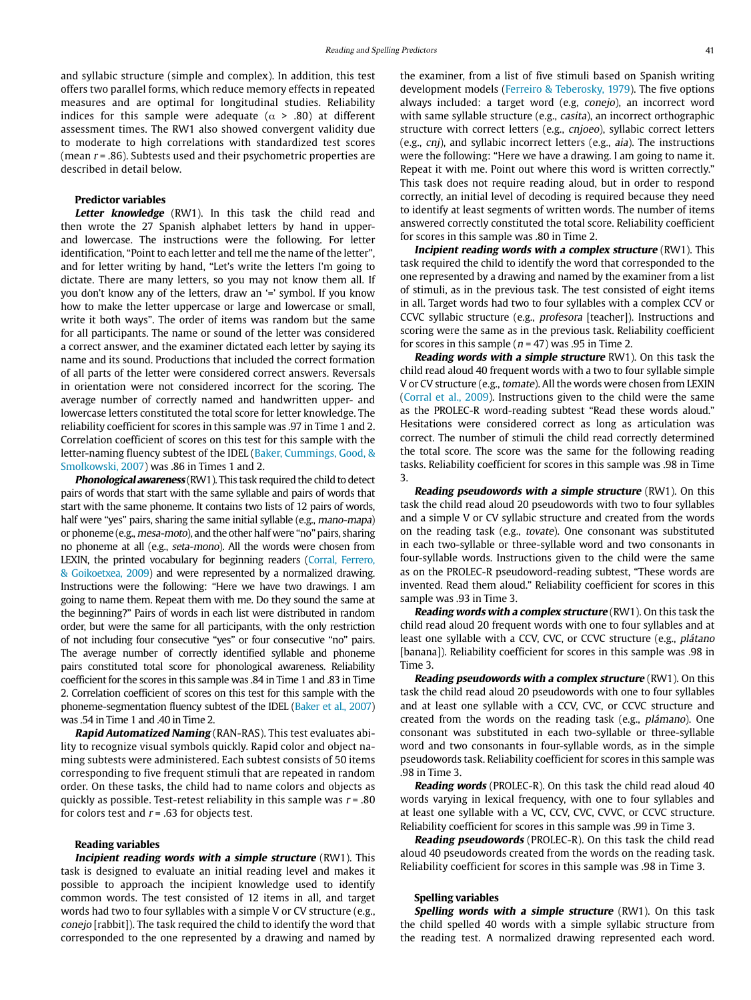and syllabic structure (simple and complex). In addition, this test offers two parallel forms, which reduce memory effects in repeated measures and are optimal for longitudinal studies. Reliability indices for this sample were adequate ( $\alpha$  > .80) at different assessment times. The RW1 also showed convergent validity due to moderate to high correlations with standardized test scores (mean  $r = .86$ ). Subtests used and their psychometric properties are described in detail below.

# **Predictor variables**

Letter knowledge (RW1). In this task the child read and then wrote the 27 Spanish alphabet letters by hand in upperand lowercase. The instructions were the following. For letter identification, "Point to each letter and tell me the name of the letter", and for letter writing by hand, "Let's write the letters I'm going to dictate. There are many letters, so you may not know them all. If you don't know any of the letters, draw an '=' symbol. If you know how to make the letter uppercase or large and lowercase or small, write it both ways". The order of items was random but the same for all participants. The name or sound of the letter was considered a correct answer, and the examiner dictated each letter by saying its name and its sound. Productions that included the correct formation of all parts of the letter were considered correct answers. Reversals in orientation were not considered incorrect for the scoring. The average number of correctly named and handwritten upper- and lowercase letters constituted the total score for letter knowledge. The reliability coefficient for scores in this sample was .97 in Time 1 and 2. Correlation coefficient of scores on this test for this sample with the letter-naming fluency subtest of the IDEL (Baker, Cummings, Good, & Smolkowski, 2007) was .86 in Times 1 and 2.

**Phonological awareness** (RW1). This task required the child to detect pairs of words that start with the same syllable and pairs of words that start with the same phoneme. It contains two lists of 12 pairs of words, half were "yes" pairs, sharing the same initial syllable (e.g., mano-mapa) or phoneme (e.g., mesa-moto), and the other half were "no" pairs, sharing no phoneme at all (e.g., seta-mono). All the words were chosen from LEXIN, the printed vocabulary for beginning readers (Corral, Ferrero, & Goikoetxea, 2009) and were represented by a normalized drawing. Instructions were the following: "Here we have two drawings. I am going to name them. Repeat them with me. Do they sound the same at the beginning?" Pairs of words in each list were distributed in random order, but were the same for all participants, with the only restriction of not including four consecutive "yes" or four consecutive "no" pairs. The average number of correctly identified syllable and phoneme pairs constituted total score for phonological awareness. Reliability coefficient for the scores in this sample was .84 in Time 1 and .83 in Time 2. Correlation coefficient of scores on this test for this sample with the phoneme-segmentation fluency subtest of the IDEL (Baker et al., 2007) was .54 in Time 1 and .40 in Time 2.

**Rapid Automatized Naming** (RAN-RAS). This test evaluates ability to recognize visual symbols quickly. Rapid color and object naming subtests were administered. Each subtest consists of 50 items corresponding to five frequent stimuli that are repeated in random order. On these tasks, the child had to name colors and objects as quickly as possible. Test-retest reliability in this sample was  $r = .80$ for colors test and  $r = .63$  for objects test.

## **Reading variables**

**Incipient reading words with a simple structure** (RW1). This task is designed to evaluate an initial reading level and makes it possible to approach the incipient knowledge used to identify common words. The test consisted of 12 items in all, and target words had two to four syllables with a simple V or CV structure (e.g., conejo [rabbit]). The task required the child to identify the word that corresponded to the one represented by a drawing and named by the examiner, from a list of five stimuli based on Spanish writing development models (Ferreiro & Teberosky, 1979). The five options always included: a target word (e.g, conejo), an incorrect word with same syllable structure (e.g., casita), an incorrect orthographic structure with correct letters (e.g., cnjoeo), syllabic correct letters (e.g., cnj), and syllabic incorrect letters (e.g., aia). The instructions were the following: "Here we have a drawing. I am going to name it. Repeat it with me. Point out where this word is written correctly." This task does not require reading aloud, but in order to respond correctly, an initial level of decoding is required because they need to identify at least segments of written words. The number of items answered correctly constituted the total score. Reliability coefficient for scores in this sample was .80 in Time 2.

**Incipient reading words with a complex structure** (RW1). This task required the child to identify the word that corresponded to the one represented by a drawing and named by the examiner from a list of stimuli, as in the previous task. The test consisted of eight items in all. Target words had two to four syllables with a complex CCV or CCVC syllabic structure (e.g., profesora [teacher]). Instructions and scoring were the same as in the previous task. Reliability coefficient for scores in this sample ( $n = 47$ ) was .95 in Time 2.

**Reading words with a simple structure** RW1). On this task the child read aloud 40 frequent words with a two to four syllable simple V or CV structure (e.g., tomate). All the words were chosen from LEXIN (Corral et al., 2009). Instructions given to the child were the same as the PROLEC-R word-reading subtest "Read these words aloud." Hesitations were considered correct as long as articulation was correct. The number of stimuli the child read correctly determined the total score. The score was the same for the following reading tasks. Reliability coefficient for scores in this sample was .98 in Time 3.

**Reading pseudowords with a simple structure** (RW1). On this task the child read aloud 20 pseudowords with two to four syllables and a simple V or CV syllabic structure and created from the words on the reading task (e.g., tovate). One consonant was substituted in each two-syllable or three-syllable word and two consonants in four-syllable words. Instructions given to the child were the same as on the PROLEC-R pseudoword-reading subtest, "These words are invented. Read them aloud." Reliability coefficient for scores in this sample was .93 in Time 3.

**Reading words with a complex structure** (RW1). On this task the child read aloud 20 frequent words with one to four syllables and at least one syllable with a CCV, CVC, or CCVC structure (e.g., plátano [banana]). Reliability coefficient for scores in this sample was .98 in Time 3.

**Reading pseudowords with a complex structure** (RW1). On this task the child read aloud 20 pseudowords with one to four syllables and at least one syllable with a CCV, CVC, or CCVC structure and created from the words on the reading task (e.g., plámano). One consonant was substituted in each two-syllable or three-syllable word and two consonants in four-syllable words, as in the simple pseudowords task. Reliability coefficient for scores in this sample was .98 in Time 3.

**Reading words** (PROLEC-R). On this task the child read aloud 40 words varying in lexical frequency, with one to four syllables and at least one syllable with a VC, CCV, CVC, CVVC, or CCVC structure. Reliability coefficient for scores in this sample was .99 in Time 3.

**Reading pseudowords** (PROLEC-R). On this task the child read aloud 40 pseudowords created from the words on the reading task. Reliability coefficient for scores in this sample was .98 in Time 3.

## **Spelling variables**

**Spelling words with a simple structure** (RW1). On this task the child spelled 40 words with a simple syllabic structure from the reading test. A normalized drawing represented each word.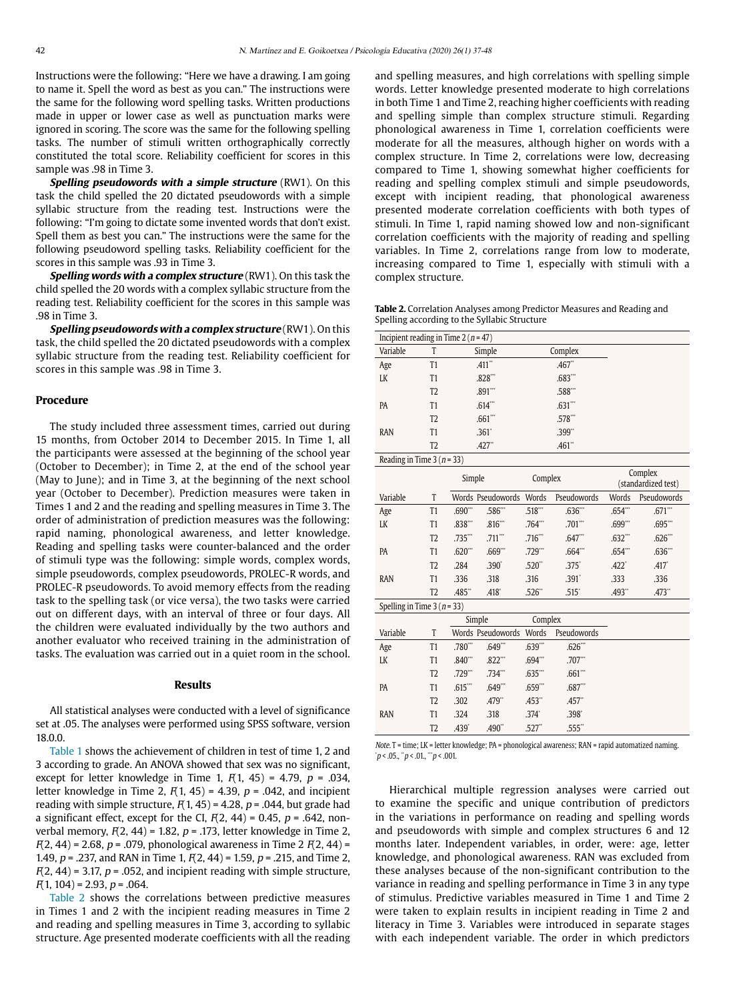Instructions were the following: "Here we have a drawing. I am going to name it. Spell the word as best as you can." The instructions were the same for the following word spelling tasks. Written productions made in upper or lower case as well as punctuation marks were ignored in scoring. The score was the same for the following spelling tasks. The number of stimuli written orthographically correctly constituted the total score. Reliability coefficient for scores in this sample was .98 in Time 3.

**Spelling pseudowords with a simple structure** (RW1). On this task the child spelled the 20 dictated pseudowords with a simple syllabic structure from the reading test. Instructions were the following: "I'm going to dictate some invented words that don't exist. Spell them as best you can." The instructions were the same for the following pseudoword spelling tasks. Reliability coefficient for the scores in this sample was .93 in Time 3.

**Spelling words with a complex structure** (RW1). On this task the child spelled the 20 words with a complex syllabic structure from the reading test. Reliability coefficient for the scores in this sample was .98 in Time 3.

**Spelling pseudowords with a complex structure** (RW1). On this task, the child spelled the 20 dictated pseudowords with a complex syllabic structure from the reading test. Reliability coefficient for scores in this sample was .98 in Time 3.

## **Procedure**

The study included three assessment times, carried out during 15 months, from October 2014 to December 2015. In Time 1, all the participants were assessed at the beginning of the school year (October to December); in Time 2, at the end of the school year (May to June); and in Time 3, at the beginning of the next school year (October to December). Prediction measures were taken in Times 1 and 2 and the reading and spelling measures in Time 3. The order of administration of prediction measures was the following: rapid naming, phonological awareness, and letter knowledge. Reading and spelling tasks were counter-balanced and the order of stimuli type was the following: simple words, complex words, simple pseudowords, complex pseudowords, PROLEC-R words, and PROLEC-R pseudowords. To avoid memory effects from the reading task to the spelling task (or vice versa), the two tasks were carried out on different days, with an interval of three or four days. All the children were evaluated individually by the two authors and another evaluator who received training in the administration of tasks. The evaluation was carried out in a quiet room in the school.

#### **Results**

All statistical analyses were conducted with a level of significance set at .05. The analyses were performed using SPSS software, version 18.0.0.

Table 1 shows the achievement of children in test of time 1, 2 and 3 according to grade. An ANOVA showed that sex was no significant, except for letter knowledge in Time 1,  $F(1, 45) = 4.79$ ,  $p = .034$ , letter knowledge in Time 2,  $F(1, 45) = 4.39$ ,  $p = .042$ , and incipient reading with simple structure,  $F(1, 45) = 4.28$ ,  $p = .044$ , but grade had a significant effect, except for the CI,  $F(2, 44) = 0.45$ ,  $p = .642$ , nonverbal memory,  $F(2, 44) = 1.82$ ,  $p = .173$ , letter knowledge in Time 2,  $F(2, 44) = 2.68$ ,  $p = .079$ , phonological awareness in Time 2  $F(2, 44) =$ 1.49,  $p = 0.237$ , and RAN in Time 1,  $F(2, 44) = 1.59$ ,  $p = 0.215$ , and Time 2,  $F(2, 44) = 3.17$ ,  $p = 0.052$ , and incipient reading with simple structure,  $F(1, 104) = 2.93, p = .064.$ 

Table 2 shows the correlations between predictive measures in Times 1 and 2 with the incipient reading measures in Time 2 and reading and spelling measures in Time 3, according to syllabic structure. Age presented moderate coefficients with all the reading and spelling measures, and high correlations with spelling simple words. Letter knowledge presented moderate to high correlations in both Time 1 and Time 2, reaching higher coefficients with reading and spelling simple than complex structure stimuli. Regarding phonological awareness in Time 1, correlation coefficients were moderate for all the measures, although higher on words with a complex structure. In Time 2, correlations were low, decreasing compared to Time 1, showing somewhat higher coefficients for reading and spelling complex stimuli and simple pseudowords, except with incipient reading, that phonological awareness presented moderate correlation coefficients with both types of stimuli. In Time 1, rapid naming showed low and non-significant correlation coefficients with the majority of reading and spelling variables. In Time 2, correlations range from low to moderate, increasing compared to Time 1, especially with stimuli with a complex structure.

**Table 2.** Correlation Analyses among Predictor Measures and Reading and Spelling according to the Syllabic Structure

| Incipient reading in Time 2 ( $n = 47$ ) |                |                      |            |  |
|------------------------------------------|----------------|----------------------|------------|--|
|                                          |                |                      |            |  |
| Variable                                 |                | Simple               | Complex    |  |
| Age                                      | T1             | .411"                | .467"      |  |
| LK                                       | T1             | .828***              | .683'''    |  |
|                                          | T <sub>2</sub> | .891                 | .588**     |  |
| PA                                       | T1             | $.614$ **            | $.631$ *** |  |
|                                          | T <sub>2</sub> | .661                 | .578***    |  |
| <b>RAN</b>                               | T1             | .361 <sup>°</sup>    | .399*      |  |
|                                          | T <sub>2</sub> | $.427$ <sup>**</sup> | .461"      |  |

Reading in Time  $3(n = 33)$ 

|                            |                | Simple                |                   | Complex               |             |                       | Complex<br>(standardized test) |
|----------------------------|----------------|-----------------------|-------------------|-----------------------|-------------|-----------------------|--------------------------------|
| Variable                   | T              |                       | Words Pseudowords | <b>Words</b>          | Pseudowords | <b>Words</b>          | Pseudowords                    |
| Age                        | T <sub>1</sub> | .690                  | .586***           | .518                  | .636"       | $.654$ <sup>**</sup>  | $.671$ <sup>***</sup>          |
| LK                         | T <sub>1</sub> | .838'''               | .816              | $.764$ <sup>***</sup> | $.701$ ***  | .699'''               | $.695$ ***                     |
|                            | T <sub>2</sub> | .735***               | .711              | .716                  | .647"       | $.632$ <sup>***</sup> | .626"                          |
| PA                         | T1             | $.620$ <sup>***</sup> | .669'''           | $.729$ <sup>***</sup> | .664        | .654"                 | .636"                          |
|                            | T <sub>2</sub> | .284                  | .390 <sup>°</sup> | .520"                 | .375'       | .422                  | .417                           |
| <b>RAN</b>                 | T1             | .336                  | .318              | .316                  | .391'       | .333                  | .336                           |
|                            | T <sub>2</sub> | .485"                 | .418'             | .526"                 | .515'       | .493"                 | .473"                          |
| Spelling in Time $3(n=33)$ |                |                       |                   |                       |             |                       |                                |
|                            |                |                       | Simple            | Complex               |             |                       |                                |
| Variable                   | T              |                       | Words Pseudowords | <b>Words</b>          | Pseudowords |                       |                                |
|                            |                |                       | $    +$ $+$       |                       |             |                       |                                |

| Vdi idijit | $\mathbf{I}$   |                     |                      |                   | <u>vvolus Pseudowolus vvolus Pseudowolus</u> |  |
|------------|----------------|---------------------|----------------------|-------------------|----------------------------------------------|--|
| Age        | T <sub>1</sub> | $.780^{}$ $.649^{}$ |                      | .639'''           | $.626$ <sup>***</sup>                        |  |
| <b>LK</b>  | T1             | .840'''             | $.822$ ***           | .694              | .707                                         |  |
|            | T <sub>2</sub> | $.729$ $"$          | $.734$ <sup>**</sup> | .635'''           | $.661$ <sup>***</sup>                        |  |
| PA         | T <sub>1</sub> | $.615$ $\cdot$      | .649**               | .659'''           | .687'''                                      |  |
|            | T <sub>2</sub> | .302                | $.479^{**}$          | .453"             | $.457$ "                                     |  |
| <b>RAN</b> | T1             | .324                | .318                 | .374 <sup>°</sup> | .398 <sup>°</sup>                            |  |
|            | T <sub>2</sub> | .439 <sup>°</sup>   | .490"                | $.527$ "          | $.555$ "                                     |  |

Note. T = time; LK = letter knowledge; PA = phonological awareness; RAN = rapid automatized naming.  $\hat{p}$ < .05.,  $\hat{p}$ < .01.,  $\hat{p}$  < .001.

Hierarchical multiple regression analyses were carried out to examine the specific and unique contribution of predictors in the variations in performance on reading and spelling words and pseudowords with simple and complex structures 6 and 12 months later. Independent variables, in order, were: age, letter knowledge, and phonological awareness. RAN was excluded from these analyses because of the non-significant contribution to the variance in reading and spelling performance in Time 3 in any type of stimulus. Predictive variables measured in Time 1 and Time 2 were taken to explain results in incipient reading in Time 2 and literacy in Time 3. Variables were introduced in separate stages with each independent variable. The order in which predictors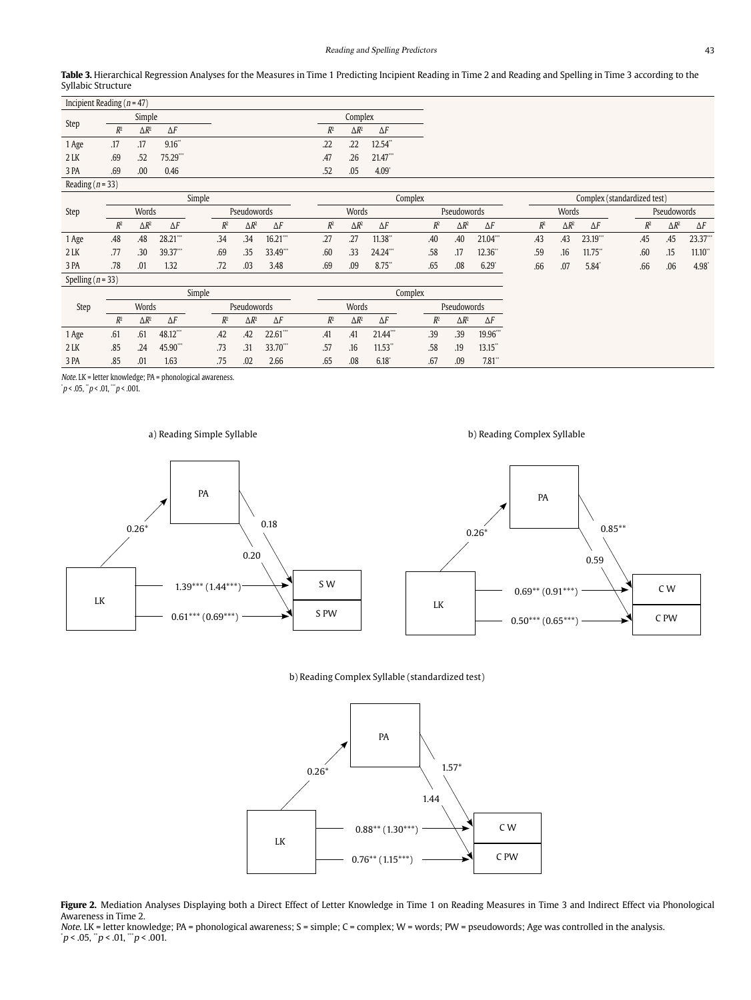| Table 3. Hierarchical Regression Analyses for the Measures in Time 1 Predicting Incipient Reading in Time 2 and Reading and Spelling in Time 3 according to the |
|-----------------------------------------------------------------------------------------------------------------------------------------------------------------|
| Syllabic Structure                                                                                                                                              |

|                      | Incipient Reading ( $n = 47$ ) |                 |            |       |                 |                       |  |
|----------------------|--------------------------------|-----------------|------------|-------|-----------------|-----------------------|--|
|                      |                                | Simple          |            |       | Complex         |                       |  |
| Step                 | $R^2$                          | $\triangle R^2$ | $\Delta F$ | $R^2$ | $\triangle R^2$ | $\Delta F$            |  |
| 1 Age                | .17                            | .17             | 9.16"      | .22   | .22             | 12.54"                |  |
| $2$ LK               | .69                            | .52             | 75.29""    | .47   | .26             | $21.47$ <sup>""</sup> |  |
| 3 PA                 | .69                            | .00             | 0.46       | .52   | .05             | $4.09$ <sup>*</sup>   |  |
| Reading ( $n = 33$ ) |                                |                 |            |       |                 |                       |  |

| $m$ uuling $\mu$ $J$  |        |              |             |  |       |              |            |       |       |              |                     |                    |       |              |            |  |       |                             |            |                    |       |              |            |  |  |  |
|-----------------------|--------|--------------|-------------|--|-------|--------------|------------|-------|-------|--------------|---------------------|--------------------|-------|--------------|------------|--|-------|-----------------------------|------------|--------------------|-------|--------------|------------|--|--|--|
|                       | Simple |              |             |  |       |              |            |       |       | Complex      |                     |                    |       |              |            |  |       | Complex (standardized test) |            |                    |       |              |            |  |  |  |
| Step                  |        | Words        | Pseudowords |  |       |              |            | Words |       |              |                     | <b>Pseudowords</b> |       |              |            |  | Words |                             |            | <b>Pseudowords</b> |       |              |            |  |  |  |
|                       | $R^2$  | $\Delta R^2$ | $\Delta F$  |  | $R^2$ | $\Delta R^2$ | $\Delta F$ |       | $R^2$ | $\Delta R^2$ | $\Delta F$          |                    | $R^2$ | $\Delta R^2$ | $\Delta F$ |  | $R^2$ | $\Delta R^2$                | $\Delta F$ |                    | $R^2$ | $\Delta R^2$ | $\Delta F$ |  |  |  |
| 1 Age                 | .48    | .48          | $28.21$ "   |  | .34   | .34          | $16.21$ "  |       | .27   | .27          | 11.38"              |                    | .40   | .40          | $21.04$ "  |  | .43   | .43                         | 23.19"     |                    | .45   | .45          | $23.37$ "  |  |  |  |
| $2$ LK                | .77    | .30          | 39.37**     |  | .69   | .35          | 33.49"     |       | .60   | .33          | 24.24***            |                    | .58   | .17          | 12.36      |  | .59   | .16                         | 11.75      |                    | .60   | .15          | 11.10"     |  |  |  |
| 3 PA                  | .78    | .01          | 1.32        |  | .72   | .03          | 3.48       |       | .69   | .09          | $8.75$ <sup>*</sup> |                    | .65   | .08          | 6.29       |  | .66   | .07                         | 5.84       |                    | .66   | .06          | 4.98       |  |  |  |
| Spelling ( $n = 33$ ) |        |              |             |  |       |              |            |       |       |              |                     |                    |       |              |            |  |       |                             |            |                    |       |              |            |  |  |  |

|        |                          |       |            | Simple |       |                 | Complex                |       |              |            |  |             |              |            |  |  |
|--------|--------------------------|-------|------------|--------|-------|-----------------|------------------------|-------|--------------|------------|--|-------------|--------------|------------|--|--|
| Step   |                          | Words |            |        |       | Pseudowords     |                        |       | Words        |            |  | Pseudowords |              |            |  |  |
|        | $R^2$<br>$\triangle R^2$ |       | $\Delta F$ |        | $R^2$ | $\triangle R^2$ | $\Delta F$             | $R^2$ | $\Delta R^2$ | $\Delta F$ |  | $R^2$       | $\Delta R^2$ | $\Delta F$ |  |  |
| 1 Age  | .61                      | .61   | 48.12"     |        | .42   | .42             | $22.61$ <sup>***</sup> | .41   | .41          | 21.44***   |  | .39         | .39          | 19.96"     |  |  |
| $2$ LK | .85                      | .24   | 45.90***   |        | .73   | 31              | 33.70"                 | .57   | .16          | 11.53"     |  | .58         | .19          | $13.15$ "  |  |  |
| 3 PA   | .85                      | .01   | 1.63       |        | .75   | .02             | 2.66                   | .65   | .08          | 6.18       |  | .67         | .09          | 7.81"      |  |  |

Note. LK = letter knowledge; PA = phonological awareness. \*

 $p < .05$ , " $p < .01$ , "" $p < .001$ .

## a) Reading Simple Syllable **b**) Reading Complex Syllable





#### b) Reading Complex Syllable (standardized test)



Figure 2. Mediation Analyses Displaying both a Direct Effect of Letter Knowledge in Time 1 on Reading Measures in Time 3 and Indirect Effect via Phonological Awareness in Time 2.

Note. LK = letter knowledge; PA = phonological awareness; S = simple; C = complex; W = words; PW = pseudowords; Age was controlled in the analysis.<br>\*p < .05, \*p < .01, \*\*p < .001.

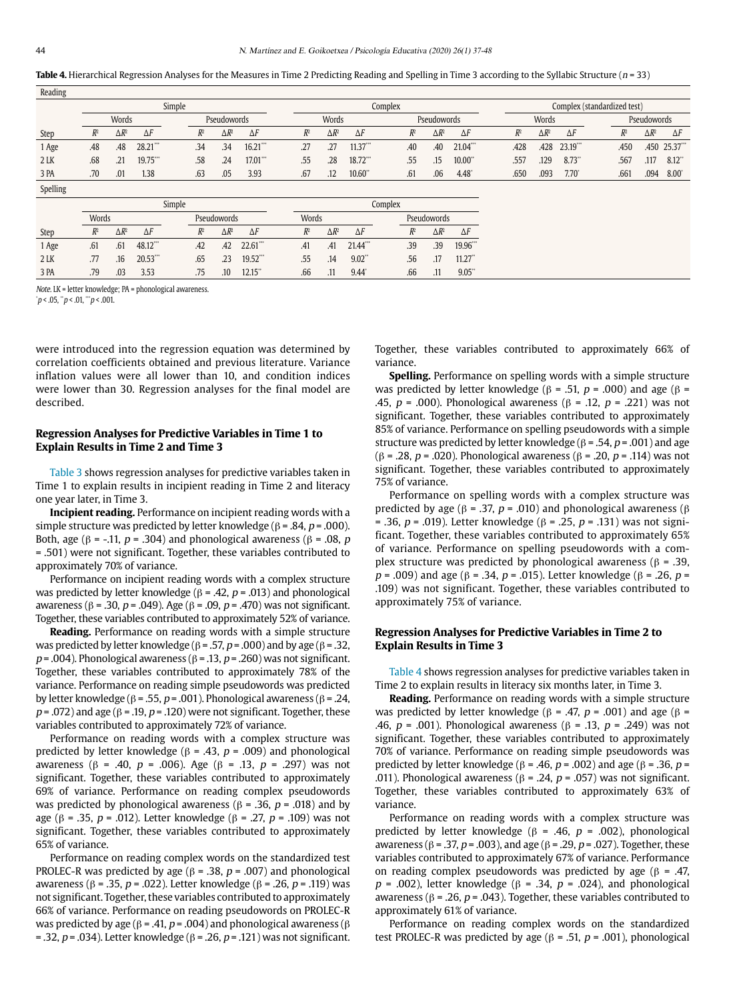Table 4. Hierarchical Regression Analyses for the Measures in Time 2 Predicting Reading and Spelling in Time 3 according to the Syllabic Structure (n = 33)

| Reading  |       |              |             |        |             |              |                      |         |              |            |  |             |              |                 |                             |       |              |                     |  |       |              |                     |  |  |
|----------|-------|--------------|-------------|--------|-------------|--------------|----------------------|---------|--------------|------------|--|-------------|--------------|-----------------|-----------------------------|-------|--------------|---------------------|--|-------|--------------|---------------------|--|--|
|          |       |              |             | Simple |             |              |                      | Complex |              |            |  |             |              |                 | Complex (standardized test) |       |              |                     |  |       |              |                     |  |  |
|          |       | Words        |             |        | Pseudowords |              |                      | Words   |              |            |  | Pseudowords |              |                 |                             | Words |              |                     |  |       | Pseudowords  |                     |  |  |
| Step     | $R^2$ | $\Delta R^2$ | $\Delta F$  |        | $R^2$       | $\Delta R^2$ | $\Delta F$           | $R^2$   | $\Delta R^2$ | $\Delta F$ |  | $R^2$       | $\Delta R^2$ | $\Delta F$      |                             | $R^2$ | $\Delta R^2$ | $\Delta F$          |  | $R^2$ | $\Delta R^2$ | $\Delta F$          |  |  |
| 1 Age    | .48   | .48          | 28.21"      |        | .34         | .34          | $16.21$ "            | .27     | .27          | $11.37$ "  |  | .40         | .40          | 21.04"          |                             | .428  | .428         | 23.19"              |  | .450  |              | .450 25.37"         |  |  |
| 2 LK     | .68   | .21          | 19.75"      |        | .58         | .24          | $17.01$ "            | .55     | .28          | 18.72"     |  | .55         | .15          | $10.00^{\circ}$ |                             | .557  | .129         | $8.73$ <sup>*</sup> |  | .567  | .117         | $8.12$ <sup>*</sup> |  |  |
| 3 PA     | .70   | .01          | 1.38        |        | .63         | .05          | 3.93                 | .67     | .12          | 10.60"     |  | .61         | .06          | 4.48            |                             | .650  | .093         | $7.70^{\circ}$      |  | .661  | .094         | $8.00^{\circ}$      |  |  |
| Spelling |       |              |             |        |             |              |                      |         |              |            |  |             |              |                 |                             |       |              |                     |  |       |              |                     |  |  |
|          |       |              |             | Simple |             |              |                      | Complex |              |            |  |             |              |                 |                             |       |              |                     |  |       |              |                     |  |  |
|          | Words |              |             |        |             | Pseudowords  |                      | Words   |              |            |  | Pseudowords |              |                 |                             |       |              |                     |  |       |              |                     |  |  |
| Step     | $R^2$ | $\Delta R^2$ | $\Delta F$  |        | $R^2$       | $\Delta R^2$ | $\Delta F$           | $R^2$   | $\Delta R^2$ | $\Delta F$ |  | $R^2$       | $\Delta R^2$ | $\Delta F$      |                             |       |              |                     |  |       |              |                     |  |  |
| 1 Age    | .61   | .61          | 48.12"      |        | .42         | .42          | $22.61$ "            | .41     | .41          | 21.44"     |  | .39         | .39          | 19.96"          |                             |       |              |                     |  |       |              |                     |  |  |
| 2 LK     | .77   | .16          | $20.53$ *** |        | .65         | .23          | $19.52$ ***          | .55     | .14          | $9.02$ "   |  | .56         | .17          | $11.27$ "       |                             |       |              |                     |  |       |              |                     |  |  |
| 3 PA     | .79   | .03          | 3.53        |        | .75         | .10          | $12.15$ <sup>*</sup> | .66     | .11          | 9.44       |  | .66         | .11          | 9.05"           |                             |       |              |                     |  |       |              |                     |  |  |

Note. LK = letter knowledge; PA = phonological awareness. \*

 $p < .05$ , " $p < .01$ , "" $p < .001$ .

were introduced into the regression equation was determined by correlation coefficients obtained and previous literature. Variance inflation values were all lower than 10, and condition indices were lower than 30. Regression analyses for the final model are described.

## **Regression Analyses for Predictive Variables in Time 1 to Explain Results in Time 2 and Time 3**

Table 3 shows regression analyses for predictive variables taken in Time 1 to explain results in incipient reading in Time 2 and literacy one year later, in Time 3.

**Incipient reading.** Performance on incipient reading words with a simple structure was predicted by letter knowledge ( $β = .84$ ,  $p = .000$ ). Both, age (β = -.11, *p* = .304) and phonological awareness (β = .08, *p* = .501) were not significant. Together, these variables contributed to approximately 70% of variance.

Performance on incipient reading words with a complex structure was predicted by letter knowledge (β = .42,  $p$  = .013) and phonological awareness (β = .30, p = .049). Age (β = .09, p = .470) was not significant. Together, these variables contributed to approximately 52% of variance.

**Reading.** Performance on reading words with a simple structure was predicted by letter knowledge ( $β = .57$ ,  $p = .000$ ) and by age ( $β = .32$ ,  $p = .004$ ). Phonological awareness ( $\beta = .13$ ,  $p = .260$ ) was not significant. Together, these variables contributed to approximately 78% of the variance. Performance on reading simple pseudowords was predicted by letter knowledge ( $β = .55$ ,  $p = .001$ ). Phonological awareness ( $β = .24$ ,  $p = .072$ ) and age ( $\beta = .19$ ,  $p = .120$ ) were not significant. Together, these variables contributed to approximately 72% of variance.

Performance on reading words with a complex structure was predicted by letter knowledge ( $β = .43$ ,  $p = .009$ ) and phonological awareness (β = .40, *p* = .006). Age (β = .13, *p* = .297) was not significant. Together, these variables contributed to approximately 69% of variance. Performance on reading complex pseudowords was predicted by phonological awareness (β = .36,  $p$  = .018) and by age (β = .35, p = .012). Letter knowledge (β = .27, p = .109) was not significant. Together, these variables contributed to approximately 65% of variance.

Performance on reading complex words on the standardized test PROLEC-R was predicted by age ( $\beta$  = .38,  $p$  = .007) and phonological awareness (β = .35, p = .022). Letter knowledge (β = .26, p = .119) was not significant. Together, these variables contributed to approximately 66% of variance. Performance on reading pseudowords on PROLEC-R was predicted by age ( $β = .41$ ,  $p = .004$ ) and phonological awareness ( $β$ = .32,  $p$  = .034). Letter knowledge ( $β$  = .26,  $p$  = .121) was not significant. Together, these variables contributed to approximately 66% of variance.

**Spelling.** Performance on spelling words with a simple structure was predicted by letter knowledge (β = .51,  $p = .000$ ) and age (β = .45,  $p = .000$ ). Phonological awareness (β = .12,  $p = .221$ ) was not significant. Together, these variables contributed to approximately 85% of variance. Performance on spelling pseudowords with a simple structure was predicted by letter knowledge ( $\beta$  = .54, p = .001) and age (β = .28, p = .020). Phonological awareness (β = .20, p = .114) was not significant. Together, these variables contributed to approximately 75% of variance.

Performance on spelling words with a complex structure was predicted by age ( $β = .37$ ,  $p = .010$ ) and phonological awareness ( $β$ = .36,  $p$  = .019). Letter knowledge (β = .25,  $p$  = .131) was not significant. Together, these variables contributed to approximately 65% of variance. Performance on spelling pseudowords with a complex structure was predicted by phonological awareness (β = .39,  $p = .009$ ) and age (β = .34,  $p = .015$ ). Letter knowledge (β = .26,  $p =$ .109) was not significant. Together, these variables contributed to approximately 75% of variance.

## **Regression Analyses for Predictive Variables in Time 2 to Explain Results in Time 3**

Table 4 shows regression analyses for predictive variables taken in Time 2 to explain results in literacy six months later, in Time 3.

**Reading.** Performance on reading words with a simple structure was predicted by letter knowledge (β = .47,  $p = .001$ ) and age (β = .46,  $p = .001$ ). Phonological awareness (β = .13,  $p = .249$ ) was not significant. Together, these variables contributed to approximately 70% of variance. Performance on reading simple pseudowords was predicted by letter knowledge (β = .46,  $p$  = .002) and age (β = .36,  $p$  = .011). Phonological awareness (β = .24,  $p$  = .057) was not significant. Together, these variables contributed to approximately 63% of variance.

Performance on reading words with a complex structure was predicted by letter knowledge (β = .46,  $p$  = .002), phonological awareness (β = .37, p = .003), and age (β = .29, p = .027). Together, these variables contributed to approximately 67% of variance. Performance on reading complex pseudowords was predicted by age ( $\beta$  = .47,  $p = .002$ ), letter knowledge ( $\beta = .34$ ,  $p = .024$ ), and phonological awareness ( $β = .26$ ,  $p = .043$ ). Together, these variables contributed to approximately 61% of variance.

Performance on reading complex words on the standardized test PROLEC-R was predicted by age (β = .51,  $p$  = .001), phonological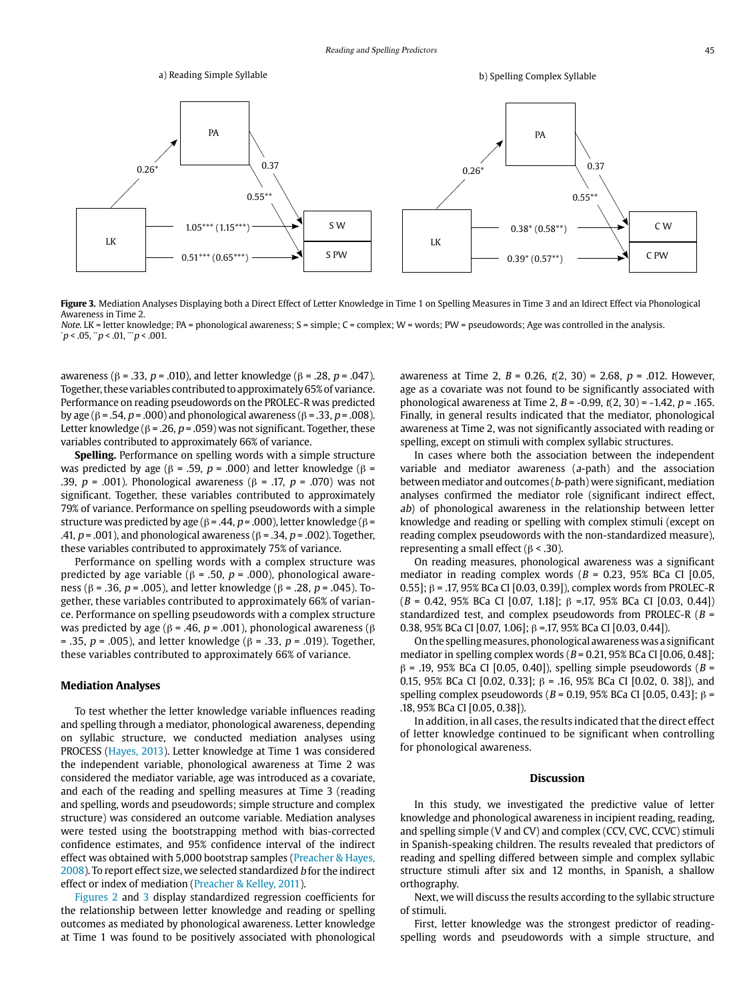

**Figure 3.** Mediation Analyses Displaying both a Direct Effect of Letter Knowledge in Time 1 on Spelling Measures in Time 3 and an Idirect Effect via Phonological Awareness in Time 2.

Note. LK = letter knowledge; PA = phonological awareness; S = simple; C = complex; W = words; PW = pseudowords; Age was controlled in the analysis.  $\mu$  < .05,  $\mu$  < .01,  $\mu$  < .001.

awareness (β = .33, p = .010), and letter knowledge (β = .28, p = .047). Together, these variables contributed to approximately 65% of variance. Performance on reading pseudowords on the PROLEC-R was predicted by age (β = .54, p = .000) and phonological awareness (β = .33, p = .008). Letter knowledge ( $\beta$  = .26, p = .059) was not significant. Together, these variables contributed to approximately 66% of variance.

**Spelling.** Performance on spelling words with a simple structure was predicted by age (β = .59,  $p = .000$ ) and letter knowledge (β = .39,  $p = .001$ ). Phonological awareness (β = .17,  $p = .070$ ) was not significant. Together, these variables contributed to approximately 79% of variance. Performance on spelling pseudowords with a simple structure was predicted by age ( $β = .44$ ,  $p = .000$ ), letter knowledge ( $β =$ .41,  $p = .001$ ), and phonological awareness ( $\beta = .34$ ,  $p = .002$ ). Together, these variables contributed to approximately 75% of variance.

Performance on spelling words with a complex structure was predicted by age variable ( $β = .50$ ,  $p = .000$ ), phonological awareness (β = .36, p = .005), and letter knowledge (β = .28, p = .045). Together, these variables contributed to approximately 66% of variance. Performance on spelling pseudowords with a complex structure was predicted by age ( $β = .46$ ,  $p = .001$ ), phonological awareness ( $β$ = .35,  $p = .005$ ), and letter knowledge (β = .33,  $p = .019$ ). Together, these variables contributed to approximately 66% of variance.

## **Mediation Analyses**

To test whether the letter knowledge variable influences reading and spelling through a mediator, phonological awareness, depending on syllabic structure, we conducted mediation analyses using PROCESS (Hayes, 2013). Letter knowledge at Time 1 was considered the independent variable, phonological awareness at Time 2 was considered the mediator variable, age was introduced as a covariate, and each of the reading and spelling measures at Time 3 (reading and spelling, words and pseudowords; simple structure and complex structure) was considered an outcome variable. Mediation analyses were tested using the bootstrapping method with bias-corrected confidence estimates, and 95% confidence interval of the indirect effect was obtained with 5,000 bootstrap samples (Preacher & Hayes, 2008). To report effect size, we selected standardized b for the indirect effect or index of mediation (Preacher & Kelley, 2011).

Figures 2 and 3 display standardized regression coefficients for the relationship between letter knowledge and reading or spelling outcomes as mediated by phonological awareness. Letter knowledge at Time 1 was found to be positively associated with phonological awareness at Time 2,  $B = 0.26$ ,  $t(2, 30) = 2.68$ ,  $p = .012$ . However, age as a covariate was not found to be significantly associated with phonological awareness at Time 2,  $B = -0.99$ ,  $t(2, 30) = -1.42$ ,  $p = .165$ . Finally, in general results indicated that the mediator, phonological awareness at Time 2, was not significantly associated with reading or spelling, except on stimuli with complex syllabic structures.

In cases where both the association between the independent variable and mediator awareness (a-path) and the association between mediator and outcomes (b-path) were significant, mediation analyses confirmed the mediator role (significant indirect effect, ab) of phonological awareness in the relationship between letter knowledge and reading or spelling with complex stimuli (except on reading complex pseudowords with the non-standardized measure), representing a small effect ( $β$  < .30).

On reading measures, phonological awareness was a significant mediator in reading complex words ( $B = 0.23$ , 95% BCa CI [0.05, 0.55]; β = .17, 95% BCa CI [0.03, 0.39]), complex words from PROLEC-R  $(B = 0.42, 95%$  BCa CI [0.07, 1.18]; β =.17, 95% BCa CI [0.03, 0.44]) standardized test, and complex pseudowords from PROLEC-R ( $B =$ 0.38, 95% BCa CI [0.07, 1.06]; β =.17, 95% BCa CI [0.03, 0.44]).

On the spelling measures, phonological awareness was a significant mediator in spelling complex words ( $B = 0.21$ , 95% BCa CI [0.06, 0.48];  $β = .19, 95% BCa CI [0.05, 0.40]),$  spelling simple pseudowords ( $B =$ 0.15, 95% BCa CI [0.02, 0.33];  $β = 0.15$ , 95% BCa CI [0.02, 0. 38]), and spelling complex pseudowords ( $B = 0.19$ , 95% BCa CI [0.05, 0.43]; β = .18, 95% BCa CI [0.05, 0.38]).

In addition, in all cases, the results indicated that the direct effect of letter knowledge continued to be significant when controlling for phonological awareness.

#### **Discussion**

In this study, we investigated the predictive value of letter knowledge and phonological awareness in incipient reading, reading, and spelling simple (V and CV) and complex (CCV, CVC, CCVC) stimuli in Spanish-speaking children. The results revealed that predictors of reading and spelling differed between simple and complex syllabic structure stimuli after six and 12 months, in Spanish, a shallow orthography.

Next, we will discuss the results according to the syllabic structure of stimuli.

First, letter knowledge was the strongest predictor of readingspelling words and pseudowords with a simple structure, and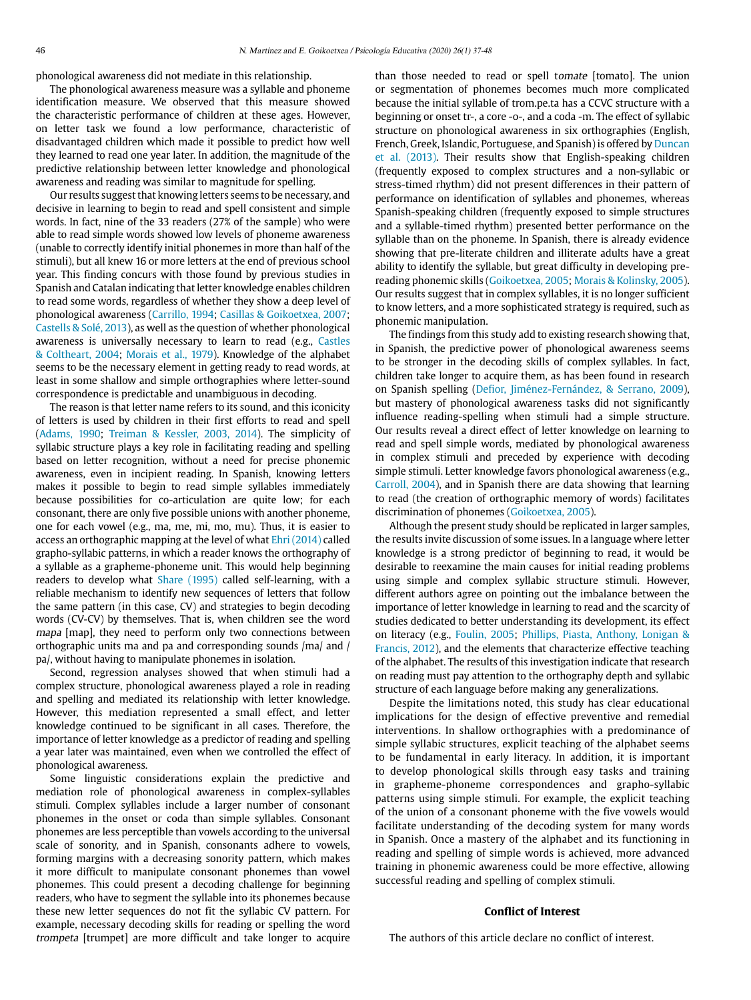phonological awareness did not mediate in this relationship.

The phonological awareness measure was a syllable and phoneme identification measure. We observed that this measure showed the characteristic performance of children at these ages. However, on letter task we found a low performance, characteristic of disadvantaged children which made it possible to predict how well they learned to read one year later. In addition, the magnitude of the predictive relationship between letter knowledge and phonological awareness and reading was similar to magnitude for spelling.

Our results suggest that knowing letters seems to be necessary, and decisive in learning to begin to read and spell consistent and simple words. In fact, nine of the 33 readers (27% of the sample) who were able to read simple words showed low levels of phoneme awareness (unable to correctly identify initial phonemes in more than half of the stimuli), but all knew 16 or more letters at the end of previous school year. This finding concurs with those found by previous studies in Spanish and Catalan indicating that letter knowledge enables children to read some words, regardless of whether they show a deep level of phonological awareness (Carrillo, 1994; Casillas & Goikoetxea, 2007; Castells & Solé, 2013), as well as the question of whether phonological awareness is universally necessary to learn to read (e.g., Castles & Coltheart, 2004; Morais et al., 1979). Knowledge of the alphabet seems to be the necessary element in getting ready to read words, at least in some shallow and simple orthographies where letter-sound correspondence is predictable and unambiguous in decoding.

The reason is that letter name refers to its sound, and this iconicity of letters is used by children in their first efforts to read and spell (Adams, 1990; Treiman & Kessler, 2003, 2014). The simplicity of syllabic structure plays a key role in facilitating reading and spelling based on letter recognition, without a need for precise phonemic awareness, even in incipient reading. In Spanish, knowing letters makes it possible to begin to read simple syllables immediately because possibilities for co-articulation are quite low; for each consonant, there are only five possible unions with another phoneme, one for each vowel (e.g., ma, me, mi, mo, mu). Thus, it is easier to access an orthographic mapping at the level of what Ehri (2014) called grapho-syllabic patterns, in which a reader knows the orthography of a syllable as a grapheme-phoneme unit. This would help beginning readers to develop what Share (1995) called self-learning, with a reliable mechanism to identify new sequences of letters that follow the same pattern (in this case, CV) and strategies to begin decoding words (CV-CV) by themselves. That is, when children see the word mapa [map], they need to perform only two connections between orthographic units ma and pa and corresponding sounds /ma/ and / pa/, without having to manipulate phonemes in isolation.

Second, regression analyses showed that when stimuli had a complex structure, phonological awareness played a role in reading and spelling and mediated its relationship with letter knowledge. However, this mediation represented a small effect, and letter knowledge continued to be significant in all cases. Therefore, the importance of letter knowledge as a predictor of reading and spelling a year later was maintained, even when we controlled the effect of phonological awareness.

Some linguistic considerations explain the predictive and mediation role of phonological awareness in complex-syllables stimuli. Complex syllables include a larger number of consonant phonemes in the onset or coda than simple syllables. Consonant phonemes are less perceptible than vowels according to the universal scale of sonority, and in Spanish, consonants adhere to vowels, forming margins with a decreasing sonority pattern, which makes it more difficult to manipulate consonant phonemes than vowel phonemes. This could present a decoding challenge for beginning readers, who have to segment the syllable into its phonemes because these new letter sequences do not fit the syllabic CV pattern. For example, necessary decoding skills for reading or spelling the word trompeta [trumpet] are more difficult and take longer to acquire

than those needed to read or spell tomate [tomato]. The union or segmentation of phonemes becomes much more complicated because the initial syllable of trom.pe.ta has a CCVC structure with a beginning or onset tr-, a core -o-, and a coda -m. The effect of syllabic structure on phonological awareness in six orthographies (English, French, Greek, Islandic, Portuguese, and Spanish) is offered by Duncan et al. (2013). Their results show that English-speaking children (frequently exposed to complex structures and a non-syllabic or stress-timed rhythm) did not present differences in their pattern of performance on identification of syllables and phonemes, whereas Spanish-speaking children (frequently exposed to simple structures and a syllable-timed rhythm) presented better performance on the syllable than on the phoneme. In Spanish, there is already evidence showing that pre-literate children and illiterate adults have a great ability to identify the syllable, but great difficulty in developing prereading phonemic skills (Goikoetxea, 2005; Morais & Kolinsky, 2005). Our results suggest that in complex syllables, it is no longer sufficient to know letters, and a more sophisticated strategy is required, such as phonemic manipulation.

The findings from this study add to existing research showing that, in Spanish, the predictive power of phonological awareness seems to be stronger in the decoding skills of complex syllables. In fact, children take longer to acquire them, as has been found in research on Spanish spelling (Defior, Jiménez-Fernández, & Serrano, 2009), but mastery of phonological awareness tasks did not significantly influence reading-spelling when stimuli had a simple structure. Our results reveal a direct effect of letter knowledge on learning to read and spell simple words, mediated by phonological awareness in complex stimuli and preceded by experience with decoding simple stimuli. Letter knowledge favors phonological awareness (e.g., Carroll, 2004), and in Spanish there are data showing that learning to read (the creation of orthographic memory of words) facilitates discrimination of phonemes (Goikoetxea, 2005).

Although the present study should be replicated in larger samples, the results invite discussion of some issues. In a language where letter knowledge is a strong predictor of beginning to read, it would be desirable to reexamine the main causes for initial reading problems using simple and complex syllabic structure stimuli. However, different authors agree on pointing out the imbalance between the importance of letter knowledge in learning to read and the scarcity of studies dedicated to better understanding its development, its effect on literacy (e.g., Foulin, 2005; Phillips, Piasta, Anthony, Lonigan & Francis, 2012), and the elements that characterize effective teaching of the alphabet. The results of this investigation indicate that research on reading must pay attention to the orthography depth and syllabic structure of each language before making any generalizations.

Despite the limitations noted, this study has clear educational implications for the design of effective preventive and remedial interventions. In shallow orthographies with a predominance of simple syllabic structures, explicit teaching of the alphabet seems to be fundamental in early literacy. In addition, it is important to develop phonological skills through easy tasks and training in grapheme-phoneme correspondences and grapho-syllabic patterns using simple stimuli. For example, the explicit teaching of the union of a consonant phoneme with the five vowels would facilitate understanding of the decoding system for many words in Spanish. Once a mastery of the alphabet and its functioning in reading and spelling of simple words is achieved, more advanced training in phonemic awareness could be more effective, allowing successful reading and spelling of complex stimuli.

## **Conflict of Interest**

The authors of this article declare no conflict of interest.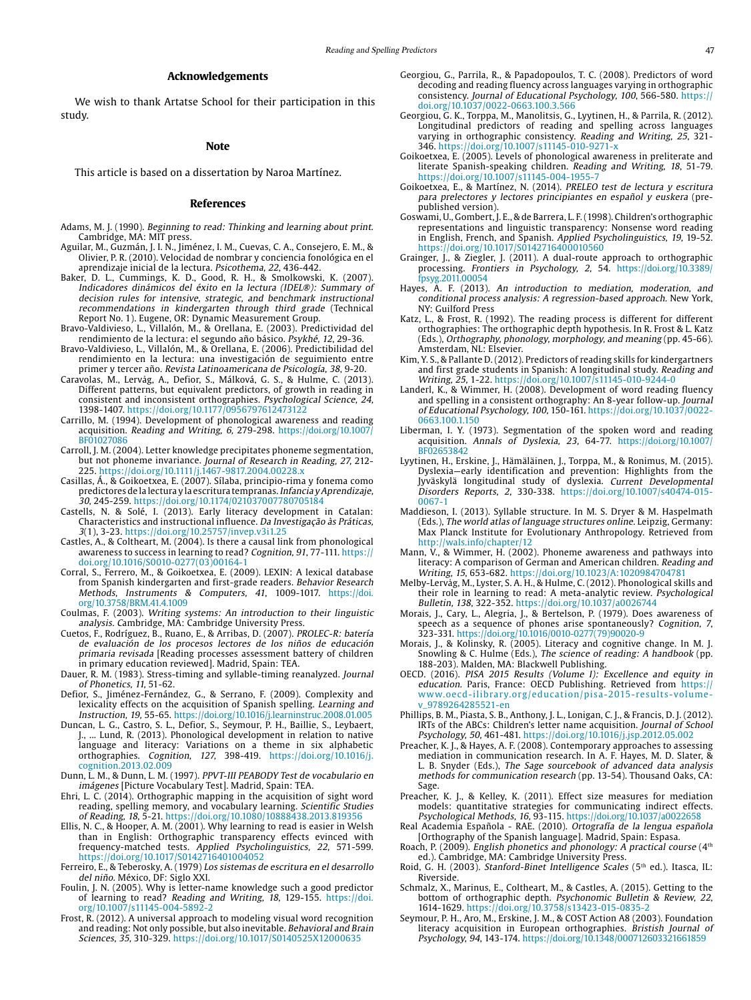# **Acknowledgements**

We wish to thank Artatse School for their participation in this study.

#### **Note**

This article is based on a dissertation by Naroa Martínez.

## **References**

- Adams, M. J. (1990). Beginning to read: Thinking and learning about print. Cambridge, MA: MIT press.
- Aguilar, M., Guzmán, J. I. N., Jiménez, I. M., Cuevas, C. A., Consejero, E. M., & Olivier, P. R. (2010). Velocidad de nombrar y conciencia fonológica en el aprendizaje inicial de la lectura. Psicothema, 22, 436-442.
- Baker, D. L., Cummings, K. D., Good, R. H., & Smolkowski, K. (2007). Indicadores dinámicos del éxito en la lectura (IDEL®): Summary of decision rules for intensive, strategic, and benchmark instructional recommendations in kindergarten through third grade (Technical Report No. 1). Eugene, OR: Dynamic Measurement Group.
- Bravo-Valdivieso, L., Villalón, M., & Orellana, E. (2003). Predictividad del rendimiento de la lectura: el segundo año básico. Psykhé, 12, 29-36.
- Bravo-Valdivieso, L., Villalón, M., & Orellana, E. (2006). Predictibilidad del rendimiento en la lectura: una investigación de seguimiento entre primer y tercer año. Revista Latinoamericana de Psicología, 38, 9-20.
- Caravolas, M., Lervåg, A., Defior, S., Málková, G. S., & Hulme, C. (2013). Different patterns, but equivalent predictors, of growth in reading in consistent and inconsistent orthographies. Psychological Science, 24, 1398-1407. https://doi.org/10.1177/0956797612473122
- Carrillo, M. (1994). Development of phonological awareness and reading acquisition. Reading and Writing, 6, 279-298. [https://doi.org/10.1007/](https://doi.org/10.1007/BF01027086) [BF01027086](https://doi.org/10.1007/BF01027086)
- Carroll, J. M. (2004). Letter knowledge precipitates phoneme segmentation, but not phoneme invariance. Journal of Research in Reading, 27, 212- 225. https://doi.org/10.1111/j.1467-9817.2004.00228.x
- Casillas, Á., & Goikoetxea, E. (2007). Sílaba, principio-rima y fonema como predictores de la lectura y la escritura tempranas. Infancia y Aprendizaje, 30, 245-259. https://doi.org/10.1174/021037007780705184
- Castells, N. & Solé, I. (2013). Early literacy development in Catalan: Characteristics and instructional influence. Da Investigação às Práticas, 3(1), 3-23.<https://doi.org/10.25757/invep.v3i1.25>
- Castles, A., & Coltheart, M. (2004). Is there a causal link from phonological awareness to success in learning to read? Cognition, 91, 77-111. https:// doi.org/10.1016/S0010-0277(03)00164-1
- Corral, S., Ferrero, M., & Goikoetxea, E. (2009). LEXIN: A lexical database from Spanish kindergarten and first-grade readers. Behavior Research Methods, Instruments & Computers, 41, 1009-1017. [https://doi.](https://doi.org/10.3758/BRM.41.4.1009) [org/10.3758/BRM.41.4.1009](https://doi.org/10.3758/BRM.41.4.1009)
- Coulmas, F. (2003). Writing systems: An introduction to their linguistic analysis. Cambridge, MA: Cambridge University Press.
- Cuetos, F., Rodríguez, B., Ruano, E., & Arribas, D. (2007). PROLEC-R: batería de evaluación de los procesos lectores de los niños de educación primaria revisada [Reading processes assessment battery of children in primary education reviewed]. Madrid, Spain: TEA.
- Dauer, R. M. (1983). Stress-timing and syllable-timing reanalyzed. Journal of Phonetics, 11, 51-62.
- Defior, S., Jiménez-Fernández, G., & Serrano, F. (2009). Complexity and lexicality effects on the acquisition of Spanish spelling. Learning and Instruction, 19, 55-65. <https://doi.org/10.1016/j.learninstruc.2008.01.005>
- Duncan, L. G., Castro, S. L., Defior, S., Seymour, P. H., Baillie, S., Leybaert, J., ... Lund, R. (2013). Phonological development in relation to native language and literacy: Variations on a theme in six alphabetic orthographies. Cognition, 127, 398-419. [https://doi.org/10.1016/j.](https://doi.org/10.1016/j.cognition.2013.02.009) [cognition.2013.02.009](https://doi.org/10.1016/j.cognition.2013.02.009)
- Dunn, L. M., & Dunn, L. M. (1997). PPVT-III PEABODY Test de vocabulario en imágenes [Picture Vocabulary Test]. Madrid, Spain: TEA.
- Ehri, L. C. (2014). Orthographic mapping in the acquisition of sight word reading, spelling memory, and vocabulary learning. Scientific Studies of Reading, 18, 5-21. https://doi.org/10.1080/10888438.2013.819356
- Ellis, N. C., & Hooper, A. M. (2001). Why learning to read is easier in Welsh than in English: Orthographic transparency effects evinced with frequency-matched tests. Applied Psycholinguistics, 22, 571-599. https://doi.org/10.1017/S0142716401004052
- Ferreiro, E., & Teberosky, A. (1979) Los sistemas de escritura en el desarrollo del niño. México, DF: Siglo XXI.
- Foulin, J. N. (2005). Why is letter-name knowledge such a good predictor of learning to read? Reading and Writing, 18, 129-155. [https://doi.](https://doi.org/10.1007/s11145-004-5892-2) [org/10.1007/s11145-004-5892-2](https://doi.org/10.1007/s11145-004-5892-2)
- Frost, R. (2012). A universal approach to modeling visual word recognition and reading: Not only possible, but also inevitable. Behavioral and Brain Sciences, 35, 310-329. https://doi.org/10.1017/S0140525X12000635
- Georgiou, G., Parrila, R., & Papadopoulos, T. C. (2008). Predictors of word decoding and reading fluency across languages varying in orthographic consistency. Journal of Educational Psychology, 100, 566-580. https:// doi.org/10.1037/0022-0663.100.3.566
- Georgiou, G. K., Torppa, M., Manolitsis, G., Lyytinen, H., & Parrila, R. (2012). Longitudinal predictors of reading and spelling across languages varying in orthographic consistency. Reading and Writing, 25, 321- 346. https://doi.org/10.1007/s11145-010-9271-x
- Goikoetxea, E. (2005). Levels of phonological awareness in preliterate and literate Spanish-speaking children. Reading and Writing, 18, 51-79. https://doi.org/10.1007/s11145-004-1955-7
- Goikoetxea, E., & Martínez, N. (2014). PRELEO test de lectura y escritura para prelectores y lectores principiantes en español y euskera (prepublished version).
- Goswami, U., Gombert, J. E., & de Barrera, L. F. (1998). Children's orthographic representations and linguistic transparency: Nonsense word reading in English, French, and Spanish. Applied Psycholinguistics, 19, 19-52. https://doi.org/10.1017/S0142716400010560
- Grainger, J., & Ziegler, J. (2011). A dual-route approach to orthographic processing. Frontiers in Psychology, 2, 54. [https://doi.org/10.3389/](https://doi.org/10.3389/fpsyg.2011.00054) [fpsyg.2011.00054](https://doi.org/10.3389/fpsyg.2011.00054)
- Hayes, A. F. (2013). An introduction to mediation, moderation, and conditional process analysis: A regression-based approach. New York, NY: Guilford Press
- Katz, L., & Frost, R. (1992). The reading process is different for different orthographies: The orthographic depth hypothesis. In R. Frost & L. Katz (Eds.), Orthography, phonology, morphology, and meaning (pp. 45-66). Amsterdam, NL: Elsevier.
- Kim, Y. S., & Pallante D. (2012). Predictors of reading skills for kindergartners and first grade students in Spanish: A longitudinal study. Reading and Writing, 25, 1-22. https://doi.org/10.1007/s11145-010-9244-0
- Landerl, K., & Wimmer, H. (2008). Development of word reading fluency and spelling in a consistent orthography: An 8-year follow-up. Journal of Educational Psychology, 100, 150-161. https://doi.org/10.1037/0022- 0663.100.1.150
- Liberman, I. Y. (1973). Segmentation of the spoken word and reading acquisition. Annals of Dyslexia, 23, 64-77. [https://doi.org/10.1007/](https://doi.org/10.1007/BF02653842) [BF02653842](https://doi.org/10.1007/BF02653842)
- Lyytinen, H., Erskine, J., Hämäläinen, J., Torppa, M., & Ronimus, M. (2015). Dyslexia—early identification and prevention: Highlights from the Jyväskylä longitudinal study of dyslexia. Current Developmental Disorders Reports, 2, 330-338. https://doi.org/10.1007/s40474-015- 0067-1
- Maddieson, I. (2013). Syllable structure. In M. S. Dryer & M. Haspelmath (Eds.), The world atlas of language structures online. Leipzig, Germany: Max Planck Institute for Evolutionary Anthropology. Retrieved from <http://wals.info/chapter/12>
- Mann, V., & Wimmer, H. (2002). Phoneme awareness and pathways into literacy: A comparison of German and American children. Reading and Writing, 15, 653-682. https://doi.org/10.1023/A:1020984704781
- Melby-Lervåg, M., Lyster, S. A. H., & Hulme, C. (2012). Phonological skills and their role in learning to read: A meta-analytic review. Psychological Bulletin, 138, 322-352. https://doi.org/10.1037/a0026744
- Morais, J., Cary, L., Alegria, J., & Bertelson, P. (1979). Does awareness of speech as a sequence of phones arise spontaneously? Cognition, 7, 323-331. [https://doi.org/10.1016/0010-0277\(79\)90020-9](https://doi.org/10.1016/0010-0277(79)90020-9)
- Morais, J., & Kolinsky, R. (2005). Literacy and cognitive change. In M. J. Snowling & C. Hulme (Eds.), The science of reading: A handbook (pp. 188-203). Malden, MA: Blackwell Publishing.
- OECD. (2016). PISA 2015 Results (Volume I): Excellence and equity in education. Paris, France: OECD Publishing. Retrieved from [https://](https://www.oecd-ilibrary.org/education/pisa-2015-results-volume-v_9789264285521-en) [www.oecd-ilibrary.org/education/pisa-2015-results-volume](https://www.oecd-ilibrary.org/education/pisa-2015-results-volume-v_9789264285521-en)[v\\_9789264285521-en](https://www.oecd-ilibrary.org/education/pisa-2015-results-volume-v_9789264285521-en)
- Phillips, B. M., Piasta, S. B., Anthony, J. L., Lonigan, C. J., & Francis, D. J. (2012) IRTs of the ABCs: Children's letter name acquisition. Journal of School Psychology, 50, 461-481. https://doi.org/10.1016/j.jsp.2012.05.002
- Preacher, K. J., & Hayes, A. F. (2008). Contemporary approaches to assessing mediation in communication research. In A. F. Hayes, M. D. Slater, & L. B. Snyder (Eds.), The Sage sourcebook of advanced data analysis methods for communication research (pp. 13-54). Thousand Oaks, CA: Sage.
- Preacher, K. J., & Kelley, K. (2011). Effect size measures for mediation models: quantitative strategies for communicating indirect effects. Psychological Methods, 16, 93-115.<https://doi.org/10.1037/a0022658>
- Real Academia Española RAE. (2010). Ortografía de la lengua española [Orthography of the Spanish language]. Madrid, Spain: Espasa.
- Roach, P. (2009). English phonetics and phonology: A practical course (4th ed.). Cambridge, MA: Cambridge University Press.
- Roid, G. H. (2003). Stanford-Binet Intelligence Scales (5th ed.). Itasca, IL: Riverside.
- Schmalz, X., Marinus, E., Coltheart, M., & Castles, A. (2015). Getting to the bottom of orthographic depth. *Psychonomic Bulletin & Review*, 22, 1614-1629. https://doi.org/10.3758/s13423-015-0835-2
- Seymour, P. H., Aro, M., Erskine, J. M., & COST Action A8 (2003). Foundation literacy acquisition in European orthographies. Bristish Journal of Psychology, 94, 143-174. <https://doi.org/10.1348/000712603321661859>